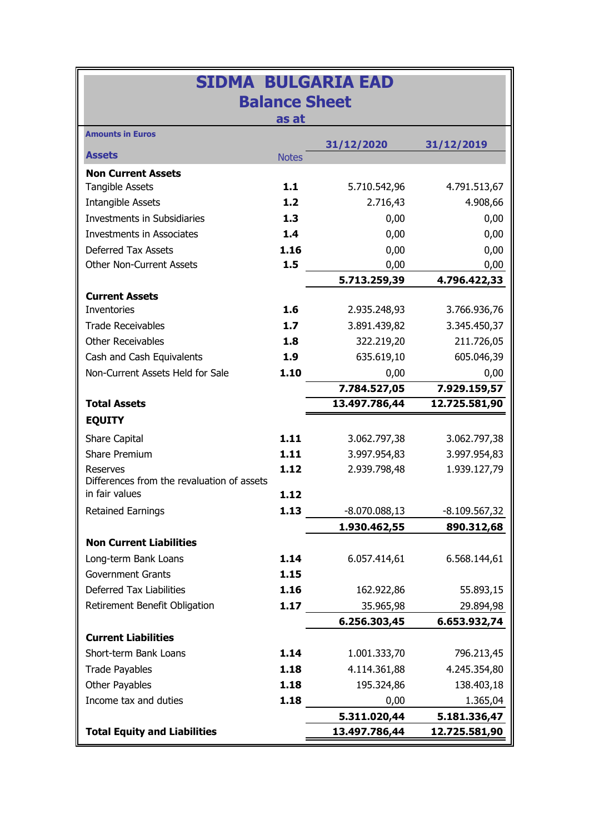| <b>SIDMA BULGARIA EAD</b>                  |              |                 |                 |  |  |  |  |
|--------------------------------------------|--------------|-----------------|-----------------|--|--|--|--|
| <b>Balance Sheet</b>                       |              |                 |                 |  |  |  |  |
| as at                                      |              |                 |                 |  |  |  |  |
| <b>Amounts in Euros</b>                    |              | 31/12/2020      | 31/12/2019      |  |  |  |  |
| <b>Assets</b>                              | <b>Notes</b> |                 |                 |  |  |  |  |
| <b>Non Current Assets</b>                  |              |                 |                 |  |  |  |  |
| <b>Tangible Assets</b>                     | 1.1          | 5.710.542,96    | 4.791.513,67    |  |  |  |  |
| <b>Intangible Assets</b>                   | 1.2          | 2.716,43        | 4.908,66        |  |  |  |  |
| <b>Investments in Subsidiaries</b>         | 1.3          | 0,00            | 0,00            |  |  |  |  |
| <b>Investments in Associates</b>           | 1.4          | 0,00            | 0,00            |  |  |  |  |
| <b>Deferred Tax Assets</b>                 | 1.16         | 0,00            | 0,00            |  |  |  |  |
| <b>Other Non-Current Assets</b>            | 1.5          | 0,00            | 0,00            |  |  |  |  |
|                                            |              | 5.713.259,39    | 4.796.422,33    |  |  |  |  |
| <b>Current Assets</b>                      |              |                 |                 |  |  |  |  |
| <b>Inventories</b>                         | 1.6          | 2.935.248,93    | 3.766.936,76    |  |  |  |  |
| <b>Trade Receivables</b>                   | 1.7          | 3.891.439,82    | 3.345.450,37    |  |  |  |  |
| <b>Other Receivables</b>                   | 1.8          | 322.219,20      | 211.726,05      |  |  |  |  |
| Cash and Cash Equivalents                  | 1.9          | 635.619,10      | 605.046,39      |  |  |  |  |
| Non-Current Assets Held for Sale           | 1.10         | 0,00            | 0,00            |  |  |  |  |
|                                            |              | 7.784.527,05    | 7.929.159,57    |  |  |  |  |
| <b>Total Assets</b>                        |              | 13.497.786,44   | 12.725.581,90   |  |  |  |  |
| <b>EQUITY</b>                              |              |                 |                 |  |  |  |  |
| Share Capital                              | 1.11         | 3.062.797,38    | 3.062.797,38    |  |  |  |  |
| Share Premium                              | 1.11         | 3.997.954,83    | 3.997.954,83    |  |  |  |  |
| <b>Reserves</b>                            | 1.12         | 2.939.798,48    | 1.939.127,79    |  |  |  |  |
| Differences from the revaluation of assets |              |                 |                 |  |  |  |  |
| in fair values                             | 1.12         |                 |                 |  |  |  |  |
| <b>Retained Earnings</b>                   | 1.13         | $-8.070.088,13$ | $-8.109.567,32$ |  |  |  |  |
|                                            |              | 1.930.462,55    | 890.312,68      |  |  |  |  |
| <b>Non Current Liabilities</b>             |              |                 |                 |  |  |  |  |
| Long-term Bank Loans                       | 1.14         | 6.057.414,61    | 6.568.144,61    |  |  |  |  |
| <b>Government Grants</b>                   | 1.15         |                 |                 |  |  |  |  |
| <b>Deferred Tax Liabilities</b>            | 1.16         | 162.922,86      | 55.893,15       |  |  |  |  |
| Retirement Benefit Obligation              | 1.17         | 35.965,98       | 29.894,98       |  |  |  |  |
|                                            |              | 6.256.303,45    | 6.653.932,74    |  |  |  |  |
| <b>Current Liabilities</b>                 |              |                 |                 |  |  |  |  |
| Short-term Bank Loans                      | 1.14         | 1.001.333,70    | 796.213,45      |  |  |  |  |
| <b>Trade Payables</b>                      | 1.18         | 4.114.361,88    | 4.245.354,80    |  |  |  |  |
| Other Payables                             | 1.18         | 195.324,86      | 138.403,18      |  |  |  |  |
| Income tax and duties                      | 1.18         | 0,00            | 1.365,04        |  |  |  |  |
| 5.311.020,44<br>5.181.336,47               |              |                 |                 |  |  |  |  |
| <b>Total Equity and Liabilities</b>        |              | 13.497.786,44   | 12.725.581,90   |  |  |  |  |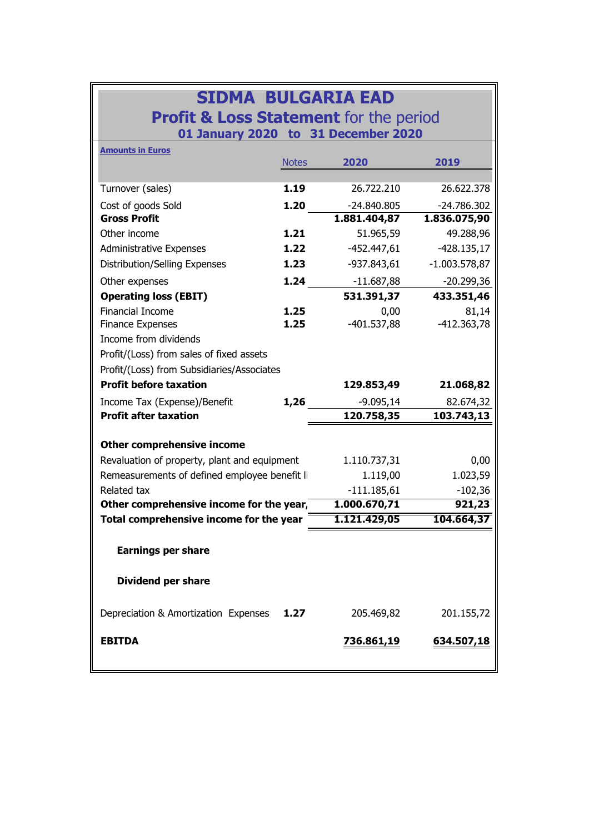| <b>SIDMA BULGARIA EAD</b>                         |
|---------------------------------------------------|
| <b>Profit &amp; Loss Statement</b> for the period |
| 01 January 2020 to 31 December 2020               |

| <b>Amounts in Euros</b>                       |              |               |                 |  |  |  |  |
|-----------------------------------------------|--------------|---------------|-----------------|--|--|--|--|
|                                               | <b>Notes</b> | 2020          | 2019            |  |  |  |  |
|                                               |              |               |                 |  |  |  |  |
| Turnover (sales)                              | 1.19         | 26.722.210    | 26.622.378      |  |  |  |  |
| Cost of goods Sold                            | 1.20         | $-24.840.805$ | $-24.786.302$   |  |  |  |  |
| <b>Gross Profit</b>                           |              | 1.881.404,87  | 1.836.075,90    |  |  |  |  |
| Other income                                  | 1.21         | 51.965,59     | 49.288,96       |  |  |  |  |
| <b>Administrative Expenses</b>                | 1.22         | $-452.447,61$ | $-428.135,17$   |  |  |  |  |
| Distribution/Selling Expenses                 | 1.23         | -937.843,61   | $-1.003.578,87$ |  |  |  |  |
| Other expenses                                | 1.24         | $-11.687,88$  | $-20.299,36$    |  |  |  |  |
| <b>Operating loss (EBIT)</b>                  |              | 531.391,37    | 433.351,46      |  |  |  |  |
| <b>Financial Income</b>                       | 1.25         | 0,00          | 81,14           |  |  |  |  |
| <b>Finance Expenses</b>                       | 1.25         | $-401.537,88$ | $-412.363,78$   |  |  |  |  |
| Income from dividends                         |              |               |                 |  |  |  |  |
| Profit/(Loss) from sales of fixed assets      |              |               |                 |  |  |  |  |
| Profit/(Loss) from Subsidiaries/Associates    |              |               |                 |  |  |  |  |
| <b>Profit before taxation</b>                 |              | 129.853,49    | 21.068,82       |  |  |  |  |
| Income Tax (Expense)/Benefit                  | 1,26         | $-9.095,14$   | 82.674,32       |  |  |  |  |
| <b>Profit after taxation</b>                  |              | 120.758,35    | 103.743,13      |  |  |  |  |
| <b>Other comprehensive income</b>             |              |               |                 |  |  |  |  |
| Revaluation of property, plant and equipment  | 1.110.737,31 | 0,00          |                 |  |  |  |  |
| Remeasurements of defined employee benefit li |              | 1.119,00      | 1.023,59        |  |  |  |  |
| Related tax                                   |              | $-111.185,61$ | $-102,36$       |  |  |  |  |
| Other comprehensive income for the year,      |              | 1.000.670,71  | 921,23          |  |  |  |  |
| Total comprehensive income for the year       |              | 1.121.429,05  | 104.664,37      |  |  |  |  |
|                                               |              |               |                 |  |  |  |  |
| <b>Earnings per share</b>                     |              |               |                 |  |  |  |  |
| <b>Dividend per share</b>                     |              |               |                 |  |  |  |  |
| Depreciation & Amortization Expenses          | 1.27         | 205.469,82    | 201.155,72      |  |  |  |  |
| <b>EBITDA</b>                                 |              | 736.861,19    | 634.507,18      |  |  |  |  |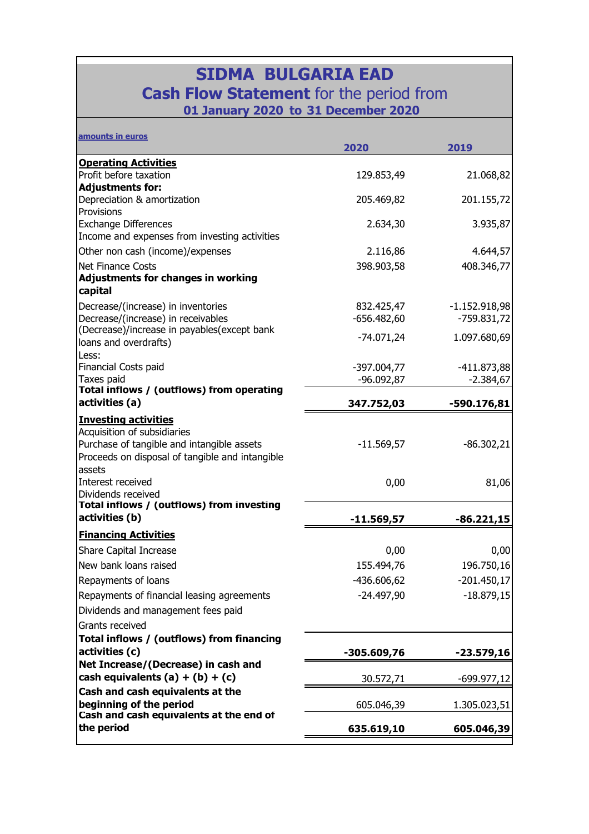| <b>SIDMA BULGARIA EAD</b><br><b>Cash Flow Statement</b> for the period from<br>01 January 2020 to 31 December 2020                                          |               |                 |  |  |  |  |
|-------------------------------------------------------------------------------------------------------------------------------------------------------------|---------------|-----------------|--|--|--|--|
| amounts in euros                                                                                                                                            | 2020          | 2019            |  |  |  |  |
| <b>Operating Activities</b>                                                                                                                                 |               |                 |  |  |  |  |
| Profit before taxation                                                                                                                                      | 129.853,49    | 21.068,82       |  |  |  |  |
| <b>Adjustments for:</b>                                                                                                                                     |               |                 |  |  |  |  |
| Depreciation & amortization<br>Provisions                                                                                                                   | 205.469,82    | 201.155,72      |  |  |  |  |
| <b>Exchange Differences</b>                                                                                                                                 | 2.634,30      | 3.935,87        |  |  |  |  |
| Income and expenses from investing activities                                                                                                               |               |                 |  |  |  |  |
| Other non cash (income)/expenses                                                                                                                            | 2.116,86      | 4.644,57        |  |  |  |  |
| <b>Net Finance Costs</b>                                                                                                                                    | 398.903,58    | 408.346,77      |  |  |  |  |
| <b>Adjustments for changes in working</b>                                                                                                                   |               |                 |  |  |  |  |
| capital                                                                                                                                                     |               |                 |  |  |  |  |
| Decrease/(increase) in inventories                                                                                                                          | 832.425,47    | $-1.152.918,98$ |  |  |  |  |
| Decrease/(increase) in receivables                                                                                                                          | $-656.482,60$ | $-759.831,72$   |  |  |  |  |
| (Decrease)/increase in payables(except bank                                                                                                                 | $-74.071,24$  | 1.097.680,69    |  |  |  |  |
| loans and overdrafts)                                                                                                                                       |               |                 |  |  |  |  |
| Less:<br>Financial Costs paid                                                                                                                               | -397.004,77   | $-411.873,88$   |  |  |  |  |
| Taxes paid                                                                                                                                                  | $-96.092,87$  | $-2.384,67$     |  |  |  |  |
| Total inflows / (outflows) from operating                                                                                                                   |               |                 |  |  |  |  |
| activities (a)                                                                                                                                              | 347.752,03    | -590.176,81     |  |  |  |  |
| <b>Investing activities</b><br>Acquisition of subsidiaries<br>Purchase of tangible and intangible assets<br>Proceeds on disposal of tangible and intangible | $-11.569,57$  | $-86.302,21$    |  |  |  |  |
| assets<br>Interest received<br>Dividends received                                                                                                           | 0,00          | 81,06           |  |  |  |  |
| Total inflows / (outflows) from investing                                                                                                                   |               |                 |  |  |  |  |
| activities (b)                                                                                                                                              | $-11.569,57$  | $-86.221,15$    |  |  |  |  |
| <b>Financing Activities</b>                                                                                                                                 |               |                 |  |  |  |  |
| Share Capital Increase                                                                                                                                      | 0,00          | 0,00            |  |  |  |  |
| New bank loans raised                                                                                                                                       | 155.494,76    | 196.750,16      |  |  |  |  |
| Repayments of loans                                                                                                                                         | -436.606,62   | $-201.450,17$   |  |  |  |  |
| Repayments of financial leasing agreements                                                                                                                  | $-24.497,90$  | $-18.879,15$    |  |  |  |  |
| Dividends and management fees paid                                                                                                                          |               |                 |  |  |  |  |
| Grants received                                                                                                                                             |               |                 |  |  |  |  |
| Total inflows / (outflows) from financing<br>activities (c)                                                                                                 | -305.609,76   | -23.579,16      |  |  |  |  |
| Net Increase/(Decrease) in cash and                                                                                                                         |               |                 |  |  |  |  |
| cash equivalents $(a) + (b) + (c)$                                                                                                                          | 30.572,71     | -699.977,12     |  |  |  |  |
| Cash and cash equivalents at the<br>beginning of the period                                                                                                 | 605.046,39    | 1.305.023,51    |  |  |  |  |
| Cash and cash equivalents at the end of<br>the period                                                                                                       | 635.619,10    | 605.046,39      |  |  |  |  |